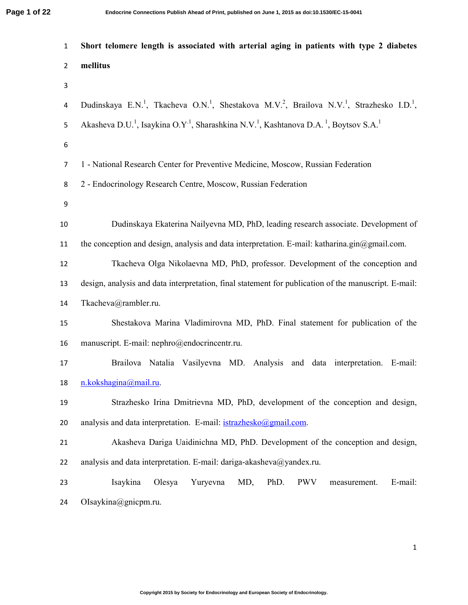| $\mathbf{1}$   | Short telomere length is associated with arterial aging in patients with type 2 diabetes                                                               |  |  |  |  |  |  |  |
|----------------|--------------------------------------------------------------------------------------------------------------------------------------------------------|--|--|--|--|--|--|--|
| $\overline{2}$ | mellitus                                                                                                                                               |  |  |  |  |  |  |  |
| 3              |                                                                                                                                                        |  |  |  |  |  |  |  |
| 4              | Dudinskaya E.N. <sup>1</sup> , Tkacheva O.N. <sup>1</sup> , Shestakova M.V. <sup>2</sup> , Brailova N.V. <sup>1</sup> , Strazhesko I.D. <sup>1</sup> , |  |  |  |  |  |  |  |
| 5              | Akasheva D.U. <sup>1</sup> , Isaykina O.Y <sup>.1</sup> , Sharashkina N.V. <sup>1</sup> , Kashtanova D.A. <sup>1</sup> , Boytsov S.A. <sup>1</sup>     |  |  |  |  |  |  |  |
| 6              |                                                                                                                                                        |  |  |  |  |  |  |  |
| $\overline{7}$ | 1 - National Research Center for Preventive Medicine, Moscow, Russian Federation                                                                       |  |  |  |  |  |  |  |
| 8              | 2 - Endocrinology Research Centre, Moscow, Russian Federation                                                                                          |  |  |  |  |  |  |  |
| 9              |                                                                                                                                                        |  |  |  |  |  |  |  |
| 10             | Dudinskaya Ekaterina Nailyevna MD, PhD, leading research associate. Development of                                                                     |  |  |  |  |  |  |  |
| $11\,$         | the conception and design, analysis and data interpretation. E-mail: katharina.gin $@g$ mail.com.                                                      |  |  |  |  |  |  |  |
| 12             | Tkacheva Olga Nikolaevna MD, PhD, professor. Development of the conception and                                                                         |  |  |  |  |  |  |  |
| 13             | design, analysis and data interpretation, final statement for publication of the manuscript. E-mail:                                                   |  |  |  |  |  |  |  |
| $14\,$         | Tkacheva@rambler.ru.                                                                                                                                   |  |  |  |  |  |  |  |
| 15             | Shestakova Marina Vladimirovna MD, PhD. Final statement for publication of the                                                                         |  |  |  |  |  |  |  |
| 16             | manuscript. E-mail: nephro@endocrincentr.ru.                                                                                                           |  |  |  |  |  |  |  |
| 17             | Brailova Natalia Vasilyevna MD. Analysis and data interpretation. E-mail:                                                                              |  |  |  |  |  |  |  |
| 18             | n.kokshagina@mail.ru.                                                                                                                                  |  |  |  |  |  |  |  |
| 19             | Strazhesko Irina Dmitrievna MD, PhD, development of the conception and design,                                                                         |  |  |  |  |  |  |  |
| 20             | analysis and data interpretation. E-mail: istrazhesko@gmail.com.                                                                                       |  |  |  |  |  |  |  |
| 21             | Akasheva Dariga Uaidinichna MD, PhD. Development of the conception and design,                                                                         |  |  |  |  |  |  |  |
| 22             | analysis and data interpretation. E-mail: dariga-akasheva@yandex.ru.                                                                                   |  |  |  |  |  |  |  |
| 23             | Isaykina<br>Yuryevna<br>MD,<br>PhD.<br><b>PWV</b><br>E-mail:<br>Olesya<br>measurement.                                                                 |  |  |  |  |  |  |  |
| 24             | OIsaykina@gnicpm.ru.                                                                                                                                   |  |  |  |  |  |  |  |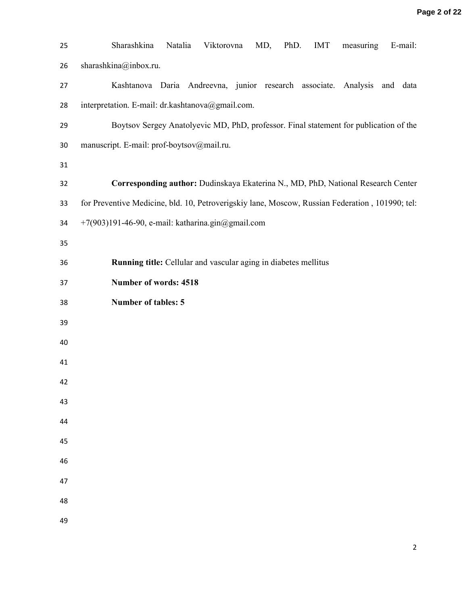| 25 | Sharashkina<br>Natalia<br>Viktorovna<br>PhD.<br>MD,<br><b>IMT</b><br>E-mail:<br>measuring       |
|----|-------------------------------------------------------------------------------------------------|
| 26 | sharashkina@inbox.ru.                                                                           |
| 27 | Kashtanova Daria Andreevna, junior research associate. Analysis<br>and data                     |
| 28 | interpretation. E-mail: dr.kashtanova@gmail.com.                                                |
| 29 | Boytsov Sergey Anatolyevic MD, PhD, professor. Final statement for publication of the           |
| 30 | manuscript. E-mail: prof-boytsov@mail.ru.                                                       |
| 31 |                                                                                                 |
| 32 | Corresponding author: Dudinskaya Ekaterina N., MD, PhD, National Research Center                |
| 33 | for Preventive Medicine, bld. 10, Petroverigskiy lane, Moscow, Russian Federation, 101990; tel: |
| 34 | +7(903)191-46-90, e-mail: katharina.gin@gmail.com                                               |
| 35 |                                                                                                 |
| 36 | Running title: Cellular and vascular aging in diabetes mellitus                                 |
| 37 | Number of words: 4518                                                                           |
| 38 | <b>Number of tables: 5</b>                                                                      |
| 39 |                                                                                                 |
| 40 |                                                                                                 |
| 41 |                                                                                                 |
| 42 |                                                                                                 |
| 43 |                                                                                                 |
| 44 |                                                                                                 |
| 45 |                                                                                                 |
| 46 |                                                                                                 |
| 47 |                                                                                                 |
| 48 |                                                                                                 |
| 49 |                                                                                                 |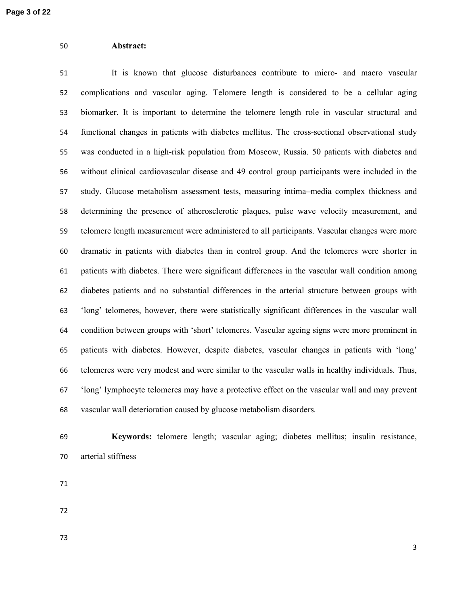# **Abstract:**

It is known that glucose disturbances contribute to micro- and macro vascular complications and vascular aging. Telomere length is considered to be a cellular aging biomarker. It is important to determine the telomere length role in vascular structural and functional changes in patients with diabetes mellitus. The cross-sectional observational study was conducted in a high-risk population from Moscow, Russia. 50 patients with diabetes and without clinical cardiovascular disease and 49 control group participants were included in the study. Glucose metabolism assessment tests, measuring intima–media complex thickness and determining the presence of atherosclerotic plaques, pulse wave velocity measurement, and telomere length measurement were administered to all participants. Vascular changes were more dramatic in patients with diabetes than in control group. And the telomeres were shorter in patients with diabetes. There were significant differences in the vascular wall condition among diabetes patients and no substantial differences in the arterial structure between groups with 'long' telomeres, however, there were statistically significant differences in the vascular wall condition between groups with 'short' telomeres. Vascular ageing signs were more prominent in patients with diabetes. However, despite diabetes, vascular changes in patients with 'long' telomeres were very modest and were similar to the vascular walls in healthy individuals. Thus, 'long' lymphocyte telomeres may have a protective effect on the vascular wall and may prevent vascular wall deterioration caused by glucose metabolism disorders.

**Keywords:** telomere length; vascular aging; diabetes mellitus; insulin resistance, arterial stiffness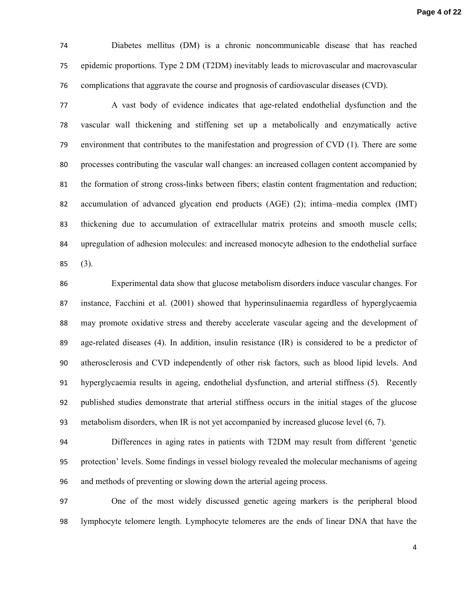Diabetes mellitus (DM) is a chronic noncommunicable disease that has reached epidemic proportions. Type 2 DM (T2DM) inevitably leads to microvascular and macrovascular complications that aggravate the course and prognosis of cardiovascular diseases (CVD).

A vast body of evidence indicates that age-related endothelial dysfunction and the vascular wall thickening and stiffening set up a metabolically and enzymatically active environment that contributes to the manifestation and progression of CVD (1). There are some processes contributing the vascular wall changes: an increased collagen content accompanied by the formation of strong cross-links between fibers; elastin content fragmentation and reduction; accumulation of advanced glycation end products (AGE) (2); intima–media complex (IMT) thickening due to accumulation of extracellular matrix proteins and smooth muscle cells; upregulation of adhesion molecules: and increased monocyte adhesion to the endothelial surface (3).

Experimental data show that glucose metabolism disorders induce vascular changes. For instance, Facchini et al. (2001) showed that hyperinsulinaemia regardless of hyperglycaemia may promote oxidative stress and thereby accelerate vascular ageing and the development of age-related diseases (4). In addition, insulin resistance (IR) is considered to be a predictor of atherosclerosis and CVD independently of other risk factors, such as blood lipid levels. And hyperglycaemia results in ageing, endothelial dysfunction, and arterial stiffness (5). Recently published studies demonstrate that arterial stiffness occurs in the initial stages of the glucose metabolism disorders, when IR is not yet accompanied by increased glucose level (6, 7).

Differences in aging rates in patients with T2DM may result from different 'genetic protection' levels. Some findings in vessel biology revealed the molecular mechanisms of ageing and methods of preventing or slowing down the arterial ageing process.

One of the most widely discussed genetic ageing markers is the peripheral blood lymphocyte telomere length. Lymphocyte telomeres are the ends of linear DNA that have the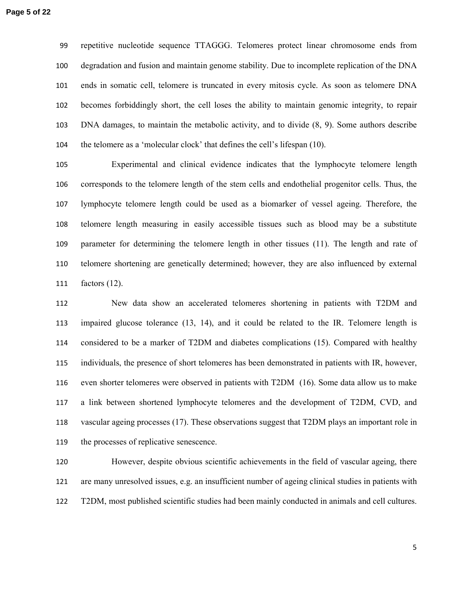repetitive nucleotide sequence TTAGGG. Telomeres protect linear chromosome ends from degradation and fusion and maintain genome stability. Due to incomplete replication of the DNA ends in somatic cell, telomere is truncated in every mitosis cycle. As soon as telomere DNA becomes forbiddingly short, the cell loses the ability to maintain genomic integrity, to repair DNA damages, to maintain the metabolic activity, and to divide (8, 9). Some authors describe the telomere as a 'molecular clock' that defines the cell's lifespan (10).

Experimental and clinical evidence indicates that the lymphocyte telomere length corresponds to the telomere length of the stem cells and endothelial progenitor cells. Thus, the lymphocyte telomere length could be used as a biomarker of vessel ageing. Therefore, the telomere length measuring in easily accessible tissues such as blood may be a substitute parameter for determining the telomere length in other tissues (11). The length and rate of telomere shortening are genetically determined; however, they are also influenced by external factors (12).

New data show an accelerated telomeres shortening in patients with T2DM and impaired glucose tolerance (13, 14), and it could be related to the IR. Telomere length is considered to be a marker of T2DM and diabetes complications (15). Compared with healthy individuals, the presence of short telomeres has been demonstrated in patients with IR, however, even shorter telomeres were observed in patients with T2DM (16). Some data allow us to make a link between shortened lymphocyte telomeres and the development of T2DM, CVD, and vascular ageing processes (17). These observations suggest that T2DM plays an important role in the processes of replicative senescence.

However, despite obvious scientific achievements in the field of vascular ageing, there are many unresolved issues, e.g. an insufficient number of ageing clinical studies in patients with T2DM, most published scientific studies had been mainly conducted in animals and cell cultures.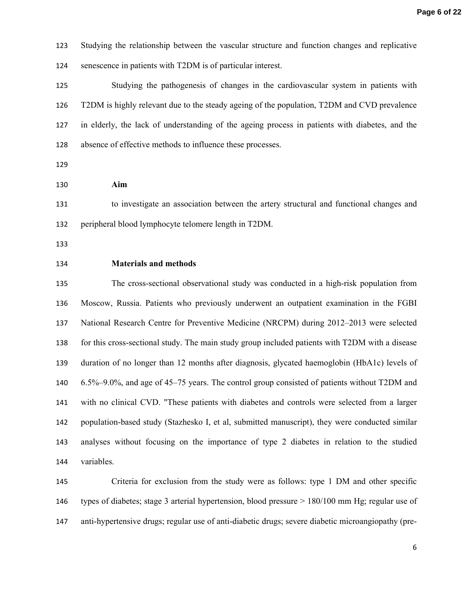Studying the relationship between the vascular structure and function changes and replicative senescence in patients with T2DM is of particular interest.

Studying the pathogenesis of changes in the cardiovascular system in patients with T2DM is highly relevant due to the steady ageing of the population, T2DM and CVD prevalence in elderly, the lack of understanding of the ageing process in patients with diabetes, and the absence of effective methods to influence these processes.

**Aim** 

to investigate an association between the artery structural and functional changes and peripheral blood lymphocyte telomere length in T2DM.

#### **Materials and methods**

The cross-sectional observational study was conducted in a high-risk population from Moscow, Russia. Patients who previously underwent an outpatient examination in the FGBI National Research Centre for Preventive Medicine (NRCPM) during 2012–2013 were selected for this cross-sectional study. The main study group included patients with T2DM with a disease duration of no longer than 12 months after diagnosis, glycated haemoglobin (HbA1c) levels of 6.5%–9.0%, and age of 45–75 years. The control group consisted of patients without T2DM and with no clinical CVD. "These patients with diabetes and controls were selected from a larger population-based study (Stazhesko I, et al, submitted manuscript), they were conducted similar analyses without focusing on the importance of type 2 diabetes in relation to the studied variables.

Criteria for exclusion from the study were as follows: type 1 DM and other specific types of diabetes; stage 3 arterial hypertension, blood pressure > 180/100 mm Hg; regular use of anti-hypertensive drugs; regular use of anti-diabetic drugs; severe diabetic microangiopathy (pre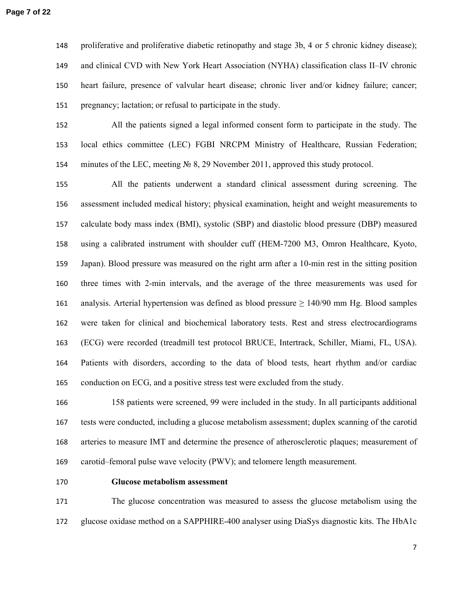proliferative and proliferative diabetic retinopathy and stage 3b, 4 or 5 chronic kidney disease); and clinical CVD with New York Heart Association (NYHA) classification class II–IV chronic heart failure, presence of valvular heart disease; chronic liver and/or kidney failure; cancer; pregnancy; lactation; or refusal to participate in the study.

All the patients signed a legal informed consent form to participate in the study. The local ethics committee (LEC) FGBI NRCPM Ministry of Healthcare, Russian Federation; minutes of the LEC, meeting № 8, 29 November 2011, approved this study protocol.

All the patients underwent a standard clinical assessment during screening. The assessment included medical history; physical examination, height and weight measurements to calculate body mass index (BMI), systolic (SBP) and diastolic blood pressure (DBP) measured using a calibrated instrument with shoulder cuff (HEM-7200 M3, Omron Healthcare, Kyoto, Japan). Blood pressure was measured on the right arm after a 10-min rest in the sitting position three times with 2-min intervals, and the average of the three measurements was used for 161 analysis. Arterial hypertension was defined as blood pressure  $\geq 140/90$  mm Hg. Blood samples were taken for clinical and biochemical laboratory tests. Rest and stress electrocardiograms (ECG) were recorded (treadmill test protocol BRUCE, Intertrack, Schiller, Miami, FL, USA). Patients with disorders, according to the data of blood tests, heart rhythm and/or cardiac 165 conduction on ECG, and a positive stress test were excluded from the study.

158 patients were screened, 99 were included in the study. In all participants additional tests were conducted, including a glucose metabolism assessment; duplex scanning of the carotid arteries to measure IMT and determine the presence of atherosclerotic plaques; measurement of carotid–femoral pulse wave velocity (PWV); and telomere length measurement.

# **Glucose metabolism assessment**

The glucose concentration was measured to assess the glucose metabolism using the glucose oxidase method on a SAPPHIRE-400 analyser using DiaSys diagnostic kits. The HbA1c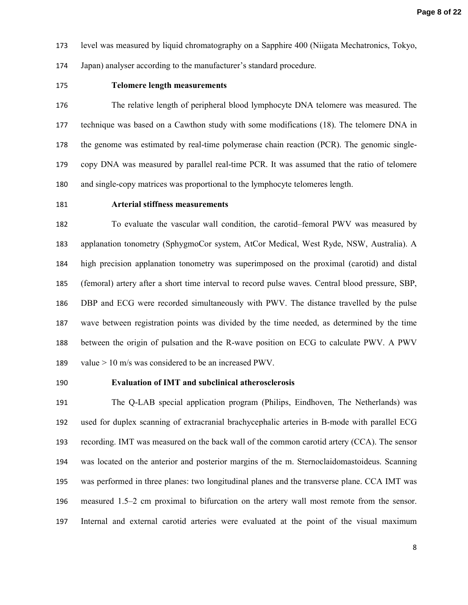level was measured by liquid chromatography on a Sapphire 400 (Niigata Mechatronics, Tokyo,

Japan) analyser according to the manufacturer's standard procedure.

# **Telomere length measurements**

The relative length of peripheral blood lymphocyte DNA telomere was measured. The technique was based on a Cawthon study with some modifications (18). The telomere DNA in the genome was estimated by real-time polymerase chain reaction (PCR). The genomic single-copy DNA was measured by parallel real-time PCR. It was assumed that the ratio of telomere and single-copy matrices was proportional to the lymphocyte telomeres length.

# **Arterial stiffness measurements**

To evaluate the vascular wall condition, the carotid–femoral PWV was measured by applanation tonometry (SphygmoCor system, AtCor Medical, West Ryde, NSW, Australia). A high precision applanation tonometry was superimposed on the proximal (carotid) and distal (femoral) artery after a short time interval to record pulse waves. Central blood pressure, SBP, DBP and ECG were recorded simultaneously with PWV. The distance travelled by the pulse wave between registration points was divided by the time needed, as determined by the time between the origin of pulsation and the R-wave position on ECG to calculate PWV. A PWV value > 10 m/s was considered to be an increased PWV.

## **Evaluation of IMT and subclinical atherosclerosis**

The Q-LAB special application program (Philips, Eindhoven, The Netherlands) was used for duplex scanning of extracranial brachycephalic arteries in B-mode with parallel ECG recording. IMT was measured on the back wall of the common carotid artery (CCA). The sensor was located on the anterior and posterior margins of the m. Sternoclaidomastoideus. Scanning was performed in three planes: two longitudinal planes and the transverse plane. CCA IMT was measured 1.5–2 cm proximal to bifurcation on the artery wall most remote from the sensor. Internal and external carotid arteries were evaluated at the point of the visual maximum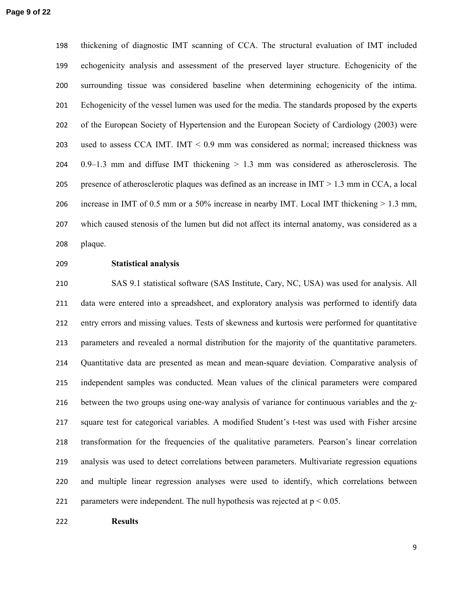thickening of diagnostic IMT scanning of CCA. The structural evaluation of IMT included echogenicity analysis and assessment of the preserved layer structure. Echogenicity of the surrounding tissue was considered baseline when determining echogenicity of the intima. Echogenicity of the vessel lumen was used for the media. The standards proposed by the experts of the European Society of Hypertension and the European Society of Cardiology (2003) were used to assess CCA IMT. IMT < 0.9 mm was considered as normal; increased thickness was 204 0.9–1.3 mm and diffuse IMT thickening  $> 1.3$  mm was considered as atherosclerosis. The presence of atherosclerotic plaques was defined as an increase in IMT > 1.3 mm in CCA, a local increase in IMT of 0.5 mm or a 50% increase in nearby IMT. Local IMT thickening > 1.3 mm, which caused stenosis of the lumen but did not affect its internal anatomy, was considered as a plaque.

#### **Statistical analysis**

SAS 9.1 statistical software (SAS Institute, Cary, NC, USA) was used for analysis. All data were entered into a spreadsheet, and exploratory analysis was performed to identify data entry errors and missing values. Tests of skewness and kurtosis were performed for quantitative parameters and revealed a normal distribution for the majority of the quantitative parameters. Quantitative data are presented as mean and mean-square deviation. Comparative analysis of independent samples was conducted. Mean values of the clinical parameters were compared 216 between the two groups using one-way analysis of variance for continuous variables and the  $\chi$ -square test for categorical variables. A modified Student's t-test was used with Fisher arcsine transformation for the frequencies of the qualitative parameters. Pearson's linear correlation analysis was used to detect correlations between parameters. Multivariate regression equations and multiple linear regression analyses were used to identify, which correlations between 221 parameters were independent. The null hypothesis was rejected at  $p < 0.05$ .

**Results**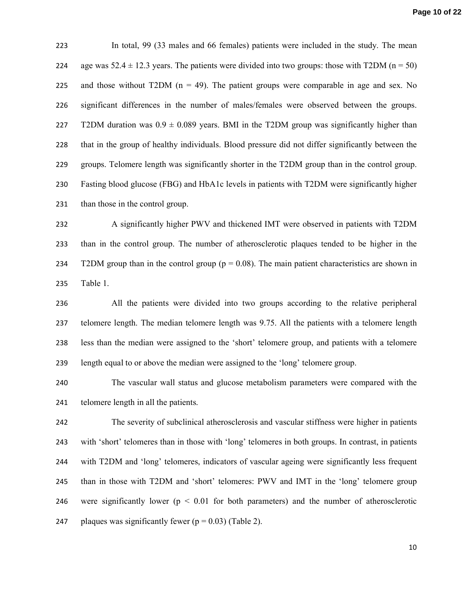In total, 99 (33 males and 66 females) patients were included in the study. The mean 224 age was  $52.4 \pm 12.3$  years. The patients were divided into two groups: those with T2DM (n = 50) 225 and those without T2DM  $(n = 49)$ . The patient groups were comparable in age and sex. No significant differences in the number of males/females were observed between the groups. 227 T2DM duration was  $0.9 \pm 0.089$  years. BMI in the T2DM group was significantly higher than that in the group of healthy individuals. Blood pressure did not differ significantly between the groups. Telomere length was significantly shorter in the T2DM group than in the control group. Fasting blood glucose (FBG) and HbA1c levels in patients with T2DM were significantly higher than those in the control group.

A significantly higher PWV and thickened IMT were observed in patients with T2DM than in the control group. The number of atherosclerotic plaques tended to be higher in the 234 T2DM group than in the control group ( $p = 0.08$ ). The main patient characteristics are shown in Table 1.

All the patients were divided into two groups according to the relative peripheral telomere length. The median telomere length was 9.75. All the patients with a telomere length less than the median were assigned to the 'short' telomere group, and patients with a telomere length equal to or above the median were assigned to the 'long' telomere group.

The vascular wall status and glucose metabolism parameters were compared with the telomere length in all the patients.

The severity of subclinical atherosclerosis and vascular stiffness were higher in patients with 'short' telomeres than in those with 'long' telomeres in both groups. In contrast, in patients with T2DM and 'long' telomeres, indicators of vascular ageing were significantly less frequent than in those with T2DM and 'short' telomeres: PWV and IMT in the 'long' telomere group 246 were significantly lower ( $p < 0.01$  for both parameters) and the number of atherosclerotic 247 plaques was significantly fewer ( $p = 0.03$ ) (Table 2).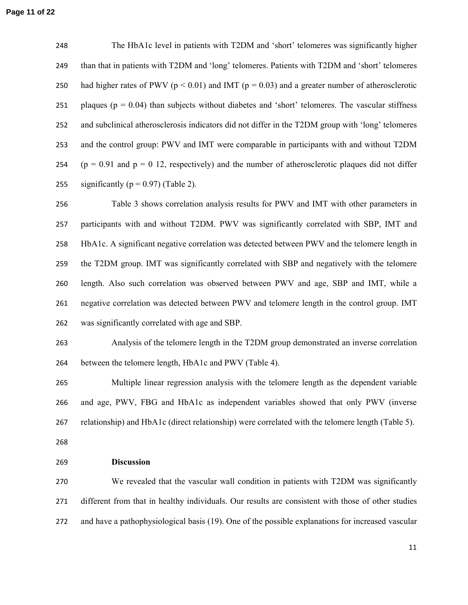The НbА1с level in patients with T2DM and 'short' telomeres was significantly higher than that in patients with T2DM and 'long' telomeres. Patients with T2DM and 'short' telomeres 250 had higher rates of PWV ( $p < 0.01$ ) and IMT ( $p = 0.03$ ) and a greater number of atherosclerotic 251 plaques ( $p = 0.04$ ) than subjects without diabetes and 'short' telomeres. The vascular stiffness and subclinical atherosclerosis indicators did not differ in the T2DM group with 'long' telomeres and the control group: PWV and IMT were comparable in participants with and without T2DM 254 ( $p = 0.91$  and  $p = 0.12$ , respectively) and the number of atherosclerotic plaques did not differ 255 significantly ( $p = 0.97$ ) (Table 2).

Table 3 shows correlation analysis results for PWV and IMT with other parameters in participants with and without T2DM. PWV was significantly correlated with SBP, IMT and HbA1c. A significant negative correlation was detected between PWV and the telomere length in the T2DM group. IMT was significantly correlated with SBP and negatively with the telomere length. Also such correlation was observed between PWV and age, SBP and IMT, while a negative correlation was detected between PWV and telomere length in the control group. IMT was significantly correlated with age and SBP.

Analysis of the telomere length in the T2DM group demonstrated an inverse correlation between the telomere length, НbА1с and PWV (Table 4).

Multiple linear regression analysis with the telomere length as the dependent variable and age, PWV, FBG and НbА1с as independent variables showed that only PWV (inverse relationship) and НbА1с (direct relationship) were correlated with the telomere length (Table 5).

**Discussion** 

We revealed that the vascular wall condition in patients with T2DM was significantly different from that in healthy individuals. Our results are consistent with those of other studies and have a pathophysiological basis (19). One of the possible explanations for increased vascular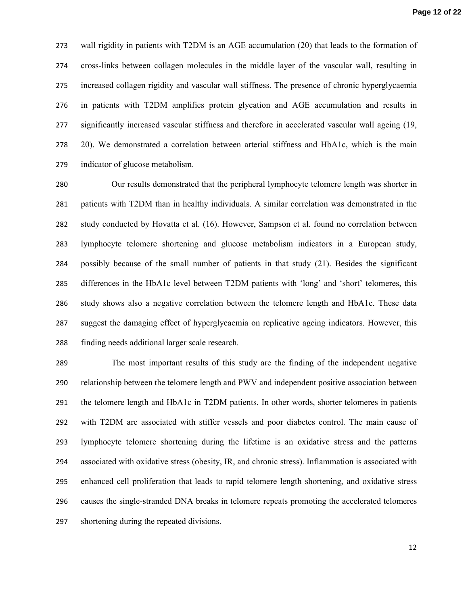wall rigidity in patients with T2DM is an AGE accumulation (20) that leads to the formation of cross-links between collagen molecules in the middle layer of the vascular wall, resulting in increased collagen rigidity and vascular wall stiffness. The presence of chronic hyperglycaemia in patients with T2DM amplifies protein glycation and AGE accumulation and results in significantly increased vascular stiffness and therefore in accelerated vascular wall ageing (19, 20). We demonstrated a correlation between arterial stiffness and НbА1с, which is the main indicator of glucose metabolism.

Our results demonstrated that the peripheral lymphocyte telomere length was shorter in patients with T2DM than in healthy individuals. A similar correlation was demonstrated in the study conducted by Hovatta et al. (16). However, Sampson et al. found no correlation between lymphocyte telomere shortening and glucose metabolism indicators in a European study, possibly because of the small number of patients in that study (21). Besides the significant differences in the НbА1с level between T2DM patients with 'long' and 'short' telomeres, this study shows also a negative correlation between the telomere length and НbА1с. These data suggest the damaging effect of hyperglycaemia on replicative ageing indicators. However, this finding needs additional larger scale research.

The most important results of this study are the finding of the independent negative relationship between the telomere length and PWV and independent positive association between the telomere length and НbА1с in T2DM patients. In other words, shorter telomeres in patients with T2DM are associated with stiffer vessels and poor diabetes control. The main cause of lymphocyte telomere shortening during the lifetime is an oxidative stress and the patterns associated with oxidative stress (obesity, IR, and chronic stress). Inflammation is associated with enhanced cell proliferation that leads to rapid telomere length shortening, and oxidative stress causes the single-stranded DNA breaks in telomere repeats promoting the accelerated telomeres shortening during the repeated divisions.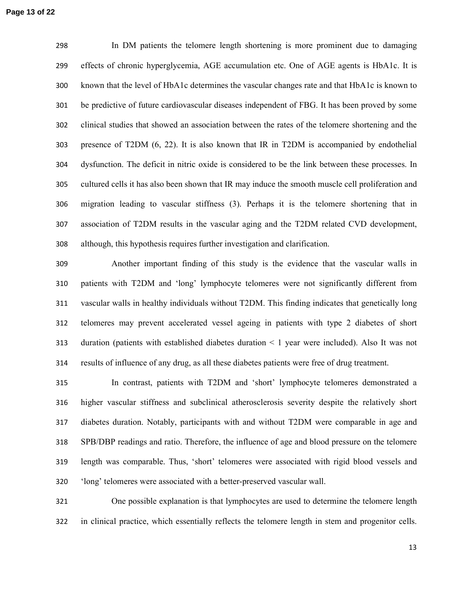In DM patients the telomere length shortening is more prominent due to damaging effects of chronic hyperglycemia, AGE accumulation etc. One of AGE agents is НbА1с. It is known that the level of НbА1с determines the vascular changes rate and that НbА1с is known to be predictive of future cardiovascular diseases independent of FBG. It has been proved by some clinical studies that showed an association between the rates of the telomere shortening and the presence of T2DM (6, 22). It is also known that IR in T2DM is accompanied by endothelial dysfunction. The deficit in nitric oxide is considered to be the link between these processes. In cultured cells it has also been shown that IR may induce the smooth muscle cell proliferation and migration leading to vascular stiffness (3). Perhaps it is the telomere shortening that in association of T2DM results in the vascular aging and the T2DM related CVD development, although, this hypothesis requires further investigation and clarification.

Another important finding of this study is the evidence that the vascular walls in patients with T2DM and 'long' lymphocyte telomeres were not significantly different from vascular walls in healthy individuals without T2DM. This finding indicates that genetically long telomeres may prevent accelerated vessel ageing in patients with type 2 diabetes of short duration (patients with established diabetes duration < 1 year were included). Also It was not results of influence of any drug, as all these diabetes patients were free of drug treatment.

In contrast, patients with T2DM and 'short' lymphocyte telomeres demonstrated a higher vascular stiffness and subclinical atherosclerosis severity despite the relatively short diabetes duration. Notably, participants with and without T2DM were comparable in age and SPB/DBP readings and ratio. Therefore, the influence of age and blood pressure on the telomere length was comparable. Thus, 'short' telomeres were associated with rigid blood vessels and 'long' telomeres were associated with a better-preserved vascular wall.

One possible explanation is that lymphocytes are used to determine the telomere length in clinical practice, which essentially reflects the telomere length in stem and progenitor cells.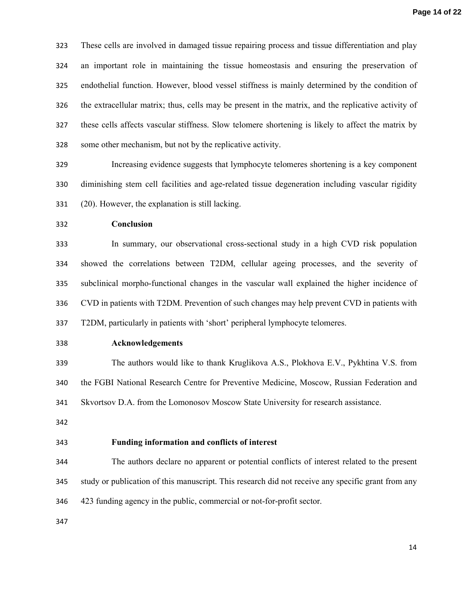These cells are involved in damaged tissue repairing process and tissue differentiation and play an important role in maintaining the tissue homeostasis and ensuring the preservation of endothelial function. However, blood vessel stiffness is mainly determined by the condition of the extracellular matrix; thus, cells may be present in the matrix, and the replicative activity of these cells affects vascular stiffness. Slow telomere shortening is likely to affect the matrix by some other mechanism, but not by the replicative activity.

Increasing evidence suggests that lymphocyte telomeres shortening is a key component diminishing stem cell facilities and age-related tissue degeneration including vascular rigidity (20). However, the explanation is still lacking.

**Conclusion** 

In summary, our observational cross-sectional study in a high CVD risk population showed the correlations between T2DM, cellular ageing processes, and the severity of subclinical morpho-functional changes in the vascular wall explained the higher incidence of CVD in patients with T2DM. Prevention of such changes may help prevent CVD in patients with T2DM, particularly in patients with 'short' peripheral lymphocyte telomeres.

**Acknowledgements** 

The authors would like to thank Kruglikova A.S., Plokhova E.V., Pykhtina V.S. from the FGBI National Research Centre for Preventive Medicine, Moscow, Russian Federation and

Skvortsov D.A. from the Lomonosov Moscow State University for research assistance.

# **Funding information and conflicts of interest**

The authors declare no apparent or potential conflicts of interest related to the present study or publication of this manuscript. This research did not receive any specific grant from any 423 funding agency in the public, commercial or not-for-profit sector.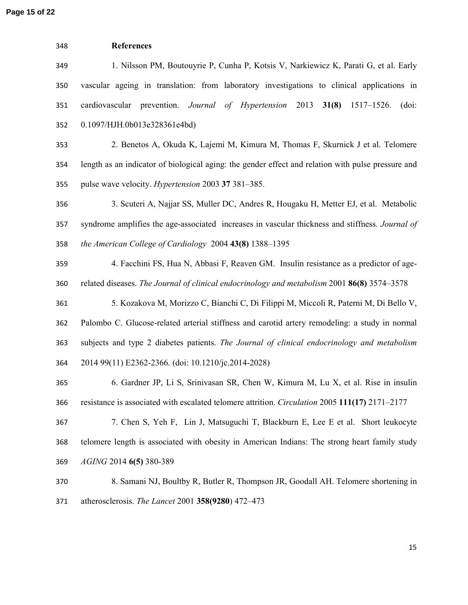**Page 15 of 22**

| 348 | <b>References</b>                                                                                  |  |  |  |  |  |
|-----|----------------------------------------------------------------------------------------------------|--|--|--|--|--|
| 349 | 1. Nilsson PM, Boutouyrie P, Cunha P, Kotsis V, Narkiewicz K, Parati G, et al. Early               |  |  |  |  |  |
| 350 | vascular ageing in translation: from laboratory investigations to clinical applications in         |  |  |  |  |  |
| 351 | cardiovascular prevention. Journal of Hypertension 2013<br>31(8)<br>$1517 - 1526$ .<br>(doi:       |  |  |  |  |  |
| 352 | 0.1097/HJH.0b013e328361e4bd)                                                                       |  |  |  |  |  |
| 353 | 2. Benetos A, Okuda K, Lajemi M, Kimura M, Thomas F, Skurnick J et al. Telomere                    |  |  |  |  |  |
| 354 | length as an indicator of biological aging: the gender effect and relation with pulse pressure and |  |  |  |  |  |
| 355 | pulse wave velocity. <i>Hypertension</i> 2003 37 381-385.                                          |  |  |  |  |  |
| 356 | 3. Scuteri A, Najjar SS, Muller DC, Andres R, Hougaku H, Metter EJ, et al. Metabolic               |  |  |  |  |  |
| 357 | syndrome amplifies the age-associated increases in vascular thickness and stiffness. Journal of    |  |  |  |  |  |
| 358 | the American College of Cardiology 2004 43(8) 1388-1395                                            |  |  |  |  |  |
| 359 | 4. Facchini FS, Hua N, Abbasi F, Reaven GM. Insulin resistance as a predictor of age-              |  |  |  |  |  |
| 360 | related diseases. The Journal of clinical endocrinology and metabolism 2001 86(8) 3574–3578        |  |  |  |  |  |
| 361 | 5. Kozakova M, Morizzo C, Bianchi C, Di Filippi M, Miccoli R, Paterni M, Di Bello V,               |  |  |  |  |  |
| 362 | Palombo C. Glucose-related arterial stiffness and carotid artery remodeling: a study in normal     |  |  |  |  |  |
| 363 | subjects and type 2 diabetes patients. The Journal of clinical endocrinology and metabolism        |  |  |  |  |  |
| 364 | 2014 99(11) E2362-2366. (doi: 10.1210/jc.2014-2028)                                                |  |  |  |  |  |
| 365 | 6. Gardner JP, Li S, Srinivasan SR, Chen W, Kimura M, Lu X, et al. Rise in insulin                 |  |  |  |  |  |
| 366 | resistance is associated with escalated telomere attrition. Circulation 2005 111(17) 2171-2177     |  |  |  |  |  |
| 367 | 7. Chen S, Yeh F, Lin J, Matsuguchi T, Blackburn E, Lee E et al. Short leukocyte                   |  |  |  |  |  |
| 368 | telomere length is associated with obesity in American Indians: The strong heart family study      |  |  |  |  |  |
| 369 | <i>AGING</i> 2014 6(5) 380-389                                                                     |  |  |  |  |  |
| 370 | 8. Samani NJ, Boultby R, Butler R, Thompson JR, Goodall AH. Telomere shortening in                 |  |  |  |  |  |
| 371 | atherosclerosis. The Lancet 2001 358(9280) 472–473                                                 |  |  |  |  |  |
|     |                                                                                                    |  |  |  |  |  |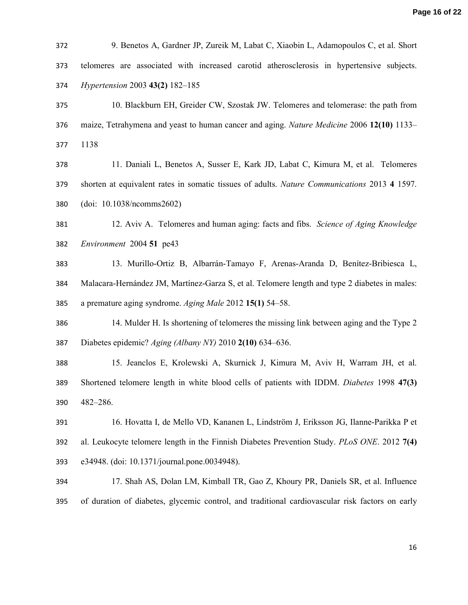| 372 | 9. Benetos A, Gardner JP, Zureik M, Labat C, Xiaobin L, Adamopoulos C, et al. Short             |
|-----|-------------------------------------------------------------------------------------------------|
| 373 | telomeres are associated with increased carotid atherosclerosis in hypertensive subjects.       |
| 374 | Hypertension 2003 43(2) 182-185                                                                 |
| 375 | 10. Blackburn EH, Greider CW, Szostak JW. Telomeres and telomerase: the path from               |
| 376 | maize, Tetrahymena and yeast to human cancer and aging. Nature Medicine 2006 12(10) 1133–       |
| 377 | 1138                                                                                            |
| 378 | 11. Daniali L, Benetos A, Susser E, Kark JD, Labat C, Kimura M, et al. Telomeres                |
| 379 | shorten at equivalent rates in somatic tissues of adults. Nature Communications 2013 4 1597.    |
| 380 | (doi: 10.1038/ncomms2602)                                                                       |
| 381 | 12. Aviv A. Telomeres and human aging: facts and fibs. Science of Aging Knowledge               |
| 382 | Environment 2004 51 pe43                                                                        |
| 383 | 13. Murillo-Ortiz B, Albarrán-Tamayo F, Arenas-Aranda D, Benítez-Bribiesca L,                   |
| 384 | Malacara-Hernández JM, Martínez-Garza S, et al. Telomere length and type 2 diabetes in males:   |
| 385 | a premature aging syndrome. Aging Male 2012 15(1) 54–58.                                        |
| 386 | 14. Mulder H. Is shortening of telomeres the missing link between aging and the Type 2          |
| 387 | Diabetes epidemic? Aging (Albany NY) 2010 2(10) 634–636.                                        |
| 388 | 15. Jeanelos E, Krolewski A, Skurnick J, Kimura M, Aviv H, Warram JH, et al.                    |
| 389 | Shortened telomere length in white blood cells of patients with IDDM. Diabetes 1998 47(3)       |
| 390 | 482-286.                                                                                        |
| 391 | 16. Hovatta I, de Mello VD, Kananen L, Lindström J, Eriksson JG, Ilanne-Parikka P et            |
| 392 | al. Leukocyte telomere length in the Finnish Diabetes Prevention Study. PLoS ONE. 2012 7(4)     |
| 393 | e34948. (doi: 10.1371/journal.pone.0034948).                                                    |
| 394 | 17. Shah AS, Dolan LM, Kimball TR, Gao Z, Khoury PR, Daniels SR, et al. Influence               |
| 395 | of duration of diabetes, glycemic control, and traditional cardiovascular risk factors on early |
|     |                                                                                                 |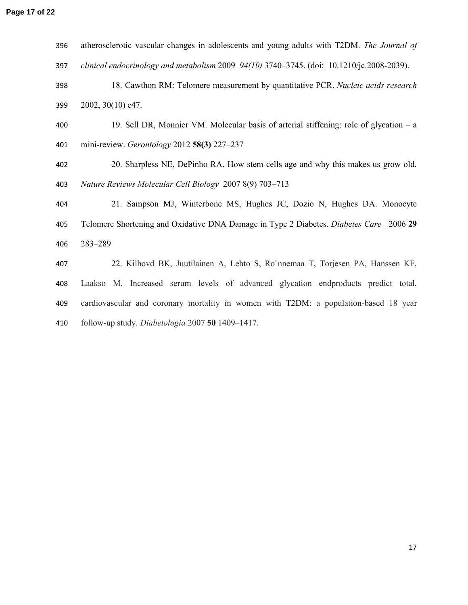| 396 | atherosclerotic vascular changes in adolescents and young adults with T2DM. The Journal of |
|-----|--------------------------------------------------------------------------------------------|
| 397 | clinical endocrinology and metabolism 2009 94(10) 3740-3745. (doi: 10.1210/jc.2008-2039).  |
| 398 | 18. Cawthon RM: Telomere measurement by quantitative PCR. Nucleic acids research           |
| 399 | 2002, 30(10) e47.                                                                          |
| 400 | 19. Sell DR, Monnier VM. Molecular basis of arterial stiffening: role of glycation $-$ a   |
| 401 | mini-review. Gerontology 2012 $58(3)$ 227–237                                              |
| 402 | 20. Sharpless NE, DePinho RA. How stem cells age and why this makes us grow old.           |
| 403 | Nature Reviews Molecular Cell Biology 2007 8(9) 703-713                                    |
| 404 | 21. Sampson MJ, Winterbone MS, Hughes JC, Dozio N, Hughes DA. Monocyte                     |
| 405 | Telomere Shortening and Oxidative DNA Damage in Type 2 Diabetes. Diabetes Care 2006 29     |
| 406 | 283-289                                                                                    |
| 407 | 22. Kilhovd BK, Juutilainen A, Lehto S, Ro nnemaa T, Torjesen PA, Hanssen KF,              |
| 408 | Laakso M. Increased serum levels of advanced glycation endproducts predict total,          |
| 409 | cardiovascular and coronary mortality in women with T2DM: a population-based 18 year       |
| 410 | follow-up study. Diabetologia 2007 50 1409-1417.                                           |
|     |                                                                                            |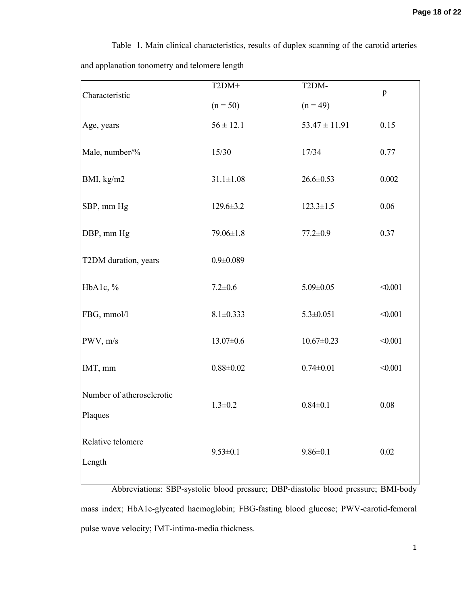| Characteristic                       | $T2DM+$         | T2DM-             | $\mathbf{p}$ |
|--------------------------------------|-----------------|-------------------|--------------|
|                                      | $(n = 50)$      | $(n = 49)$        |              |
| Age, years                           | $56 \pm 12.1$   | $53.47 \pm 11.91$ | 0.15         |
| Male, number/%                       | 15/30           | 17/34             | 0.77         |
| BMI, kg/m2                           | $31.1 \pm 1.08$ | $26.6 \pm 0.53$   | 0.002        |
| SBP, mm Hg                           | $129.6 \pm 3.2$ | $123.3 \pm 1.5$   | 0.06         |
| DBP, mm Hg                           | $79.06 \pm 1.8$ | $77.2 \pm 0.9$    | 0.37         |
| T2DM duration, years                 | $0.9 \pm 0.089$ |                   |              |
| HbA1c, %                             | $7.2 \pm 0.6$   | $5.09 \pm 0.05$   | < 0.001      |
| FBG, mmol/l                          | $8.1 \pm 0.333$ | $5.3 \pm 0.051$   | < 0.001      |
| PWV, m/s                             | $13.07 \pm 0.6$ | $10.67 \pm 0.23$  | < 0.001      |
| IMT, mm                              | $0.88 \pm 0.02$ | $0.74 \pm 0.01$   | < 0.001      |
| Number of atherosclerotic<br>Plaques | $1.3 \pm 0.2$   | $0.84 \pm 0.1$    | 0.08         |
| Relative telomere<br>Length          | $9.53 \pm 0.1$  | $9.86 \pm 0.1$    | 0.02         |

Table 1. Main clinical characteristics, results of duplex scanning of the carotid arteries and applanation tonometry and telomere length

Abbreviations: SBP-systolic blood pressure; DBP-diastolic blood pressure; BMI-body mass index; НbА1с-glycated haemoglobin; FBG-fasting blood glucose; PWV-carotid-femoral pulse wave velocity; IMT-intima-media thickness.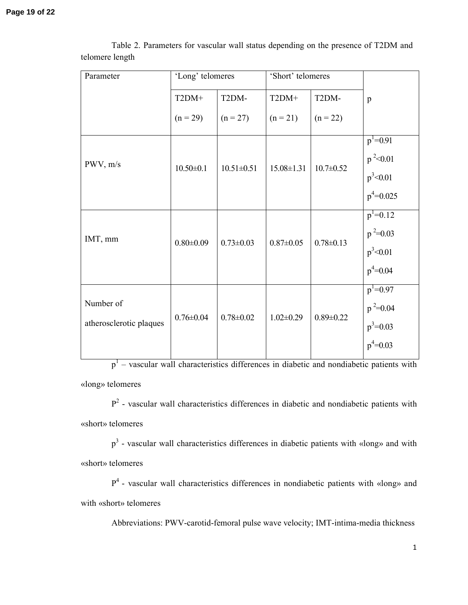| Parameter                            | 'Long' telomeres |                  | 'Short' telomeres |                 |                                                              |
|--------------------------------------|------------------|------------------|-------------------|-----------------|--------------------------------------------------------------|
|                                      | $T2DM+$          | T2DM-            | $T2DM+$           | T2DM-           | p                                                            |
|                                      | $(n = 29)$       | $(n = 27)$       | $(n = 21)$        | $(n = 22)$      |                                                              |
| PWV, m/s                             | $10.50 \pm 0.1$  | $10.51 \pm 0.51$ | $15.08 \pm 1.31$  | $10.7 \pm 0.52$ | $p^1 = 0.91$<br>$p^2$ < 0.01<br>$p^3$ < 0.01<br>$p^4$ =0.025 |
| IMT, mm                              | $0.80 \pm 0.09$  | $0.73 \pm 0.03$  | $0.87 \pm 0.05$   | $0.78 \pm 0.13$ | $p^1=0.12$<br>$p^2=0.03$<br>$p^3$ < 0.01<br>$p^4 = 0.04$     |
| Number of<br>atherosclerotic plaques | $0.76 \pm 0.04$  | $0.78 \pm 0.02$  | $1.02 \pm 0.29$   | $0.89 \pm 0.22$ | $p^1=0.97$<br>$p^2=0.04$<br>$p^3 = 0.03$<br>$p^4$ =0.03      |

Table 2. Parameters for vascular wall status depending on the presence of T2DM and telomere length

p<sup>1</sup> – vascular wall characteristics differences in diabetic and nondiabetic patients with «long» telomeres

 $P<sup>2</sup>$  - vascular wall characteristics differences in diabetic and nondiabetic patients with «short» telomeres

p<sup>3</sup> - vascular wall characteristics differences in diabetic patients with «long» and with «short» telomeres

P<sup>4</sup> - vascular wall characteristics differences in nondiabetic patients with «long» and with «short» telomeres

Abbreviations: PWV-carotid-femoral pulse wave velocity; IMT-intima-media thickness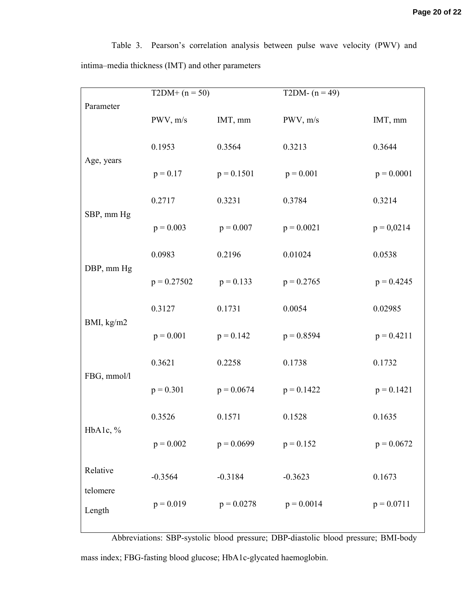Table 3. Pearson's correlation analysis between pulse wave velocity (PWV) and intima–media thickness (IMT) and other parameters

|                    | $T2DM+ (n = 50)$ |              | $\overline{\text{T2DM}}$ - (n = 49) |              |
|--------------------|------------------|--------------|-------------------------------------|--------------|
| Parameter          | PWV, m/s         | IMT, mm      | PWV, m/s                            | IMT, mm      |
| Age, years         | 0.1953           | 0.3564       | 0.3213                              | 0.3644       |
|                    | $p = 0.17$       | $p = 0.1501$ | $p = 0.001$                         | $p = 0.0001$ |
|                    | 0.2717           | 0.3231       | 0.3784                              | 0.3214       |
| SBP, mm Hg         | $p = 0.003$      | $p = 0.007$  | $p = 0.0021$                        | $p = 0,0214$ |
|                    | 0.0983           | 0.2196       | 0.01024                             | 0.0538       |
| DBP, mm Hg         | $p = 0.27502$    | $p = 0.133$  | $p = 0.2765$                        | $p = 0.4245$ |
|                    | 0.3127           | 0.1731       | 0.0054                              | 0.02985      |
| BMI, kg/m2         | $p = 0.001$      | $p = 0.142$  | $p = 0.8594$                        | $p = 0.4211$ |
|                    | 0.3621           | 0.2258       | 0.1738                              | 0.1732       |
| FBG, mmol/l        | $p = 0.301$      | $p = 0.0674$ | $p = 0.1422$                        | $p = 0.1421$ |
| HbA1c, %           | 0.3526           | 0.1571       | 0.1528                              | 0.1635       |
|                    | $p = 0.002$      | $p = 0.0699$ | $p = 0.152$                         | $p = 0.0672$ |
| Relative           | $-0.3564$        | $-0.3184$    | $-0.3623$                           | 0.1673       |
| telomere<br>Length | $p = 0.019$      | $p = 0.0278$ | $p = 0.0014$                        | $p = 0.0711$ |
|                    |                  |              |                                     |              |

Abbreviations: SBP-systolic blood pressure; DBP-diastolic blood pressure; BMI-body mass index; FBG-fasting blood glucose; НbА1с-glycated haemoglobin.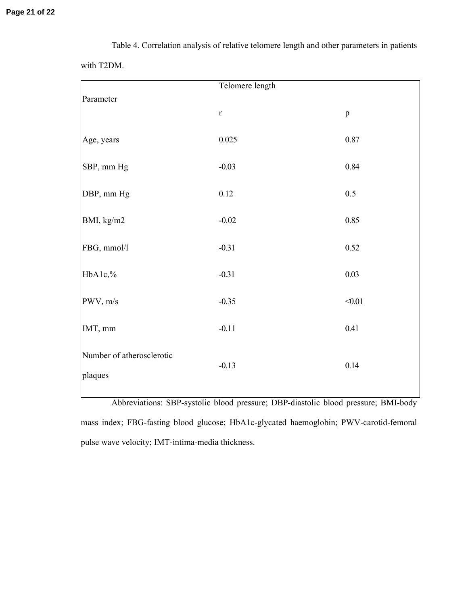|                                      | Telomere length |                                                          |
|--------------------------------------|-----------------|----------------------------------------------------------|
| Parameter                            | $\mathbf r$     | $\mathbf{p}$                                             |
| Age, years                           | 0.025           | 0.87                                                     |
| SBP, mm Hg                           | $-0.03$         | 0.84                                                     |
| DBP, mm Hg                           | 0.12            | 0.5                                                      |
| BMI, kg/m2                           | $-0.02$         | 0.85                                                     |
| FBG, mmol/l                          | $-0.31$         | 0.52                                                     |
| HbA1c,%                              | $-0.31$         | 0.03                                                     |
| PWV, m/s                             | $-0.35$         | $<0.01$                                                  |
| IMT, mm                              | $-0.11$         | 0.41                                                     |
| Number of atherosclerotic<br>plaques | $-0.13$         | $0.14\,$                                                 |
| $1 - 1 - 1$                          | $\cdot$<br>1.1  | $\cdot$<br>$\ddot{\phantom{1}}$<br>1.1<br><b>DE 57 1</b> |

Table 4. Correlation analysis of relative telomere length and other parameters in patients with T2DM.

Abbreviations: SBP-systolic blood pressure; DBP-diastolic blood pressure; BMI-body mass index; FBG-fasting blood glucose; НbА1с-glycated haemoglobin; PWV-carotid-femoral pulse wave velocity; IMT-intima-media thickness.